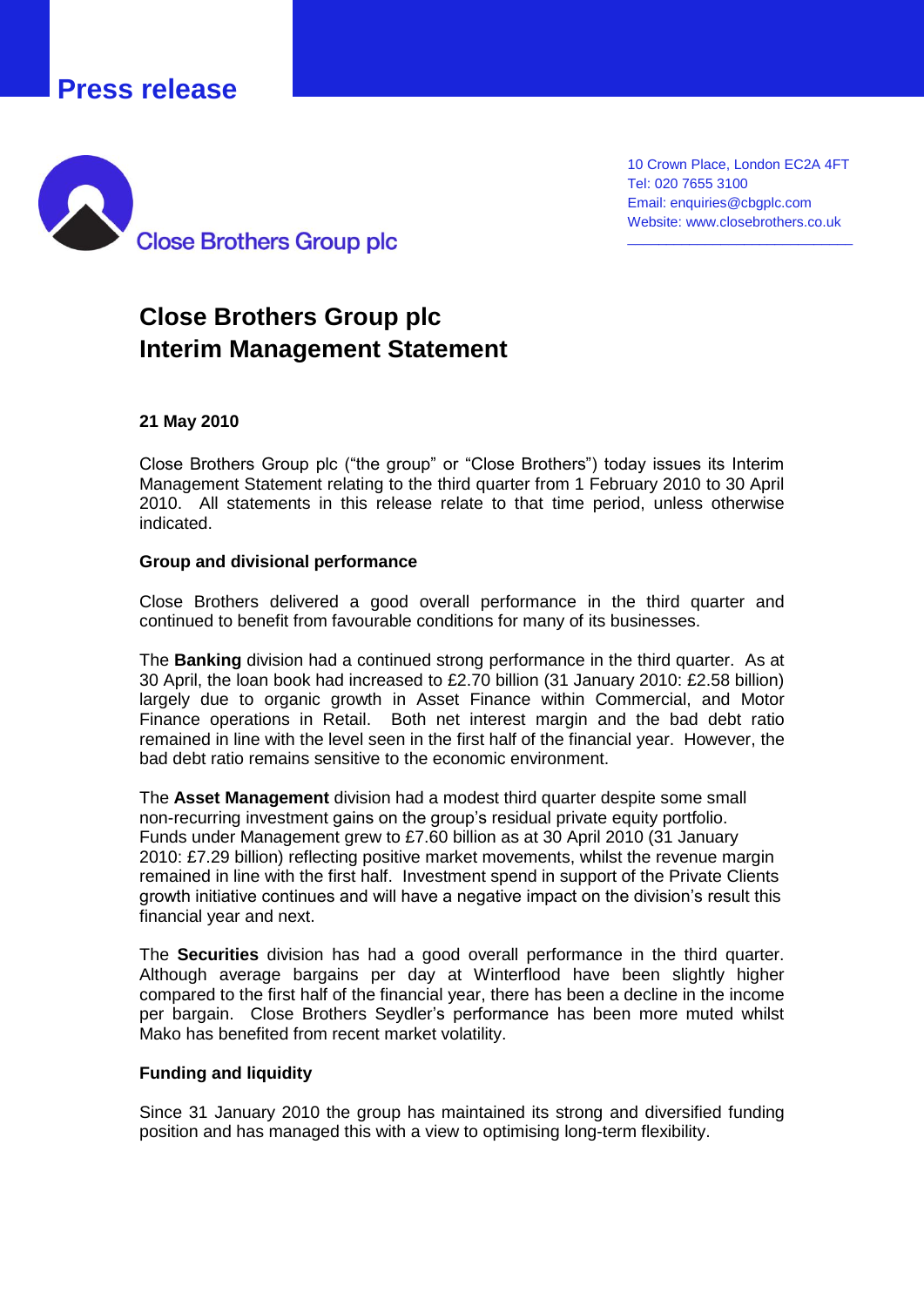## **Press release**



10 Crown Place, London EC2A 4FT Tel: 020 7655 3100 Email: enquiries@cbgplc.com Website: www.closebrothers.co.uk

\_\_\_\_\_\_\_\_\_\_\_\_\_\_\_\_\_\_\_\_\_\_\_\_\_\_\_\_\_

# **Close Brothers Group plc Interim Management Statement**

#### **21 May 2010**

Close Brothers Group plc ("the group" or "Close Brothers") today issues its Interim Management Statement relating to the third quarter from 1 February 2010 to 30 April 2010. All statements in this release relate to that time period, unless otherwise indicated.

#### **Group and divisional performance**

Close Brothers delivered a good overall performance in the third quarter and continued to benefit from favourable conditions for many of its businesses.

The **Banking** division had a continued strong performance in the third quarter. As at 30 April, the loan book had increased to £2.70 billion (31 January 2010: £2.58 billion) largely due to organic growth in Asset Finance within Commercial, and Motor Finance operations in Retail. Both net interest margin and the bad debt ratio remained in line with the level seen in the first half of the financial year. However, the bad debt ratio remains sensitive to the economic environment.

The **Asset Management** division had a modest third quarter despite some small non-recurring investment gains on the group's residual private equity portfolio. Funds under Management grew to £7.60 billion as at 30 April 2010 (31 January 2010: £7.29 billion) reflecting positive market movements, whilst the revenue margin remained in line with the first half. Investment spend in support of the Private Clients growth initiative continues and will have a negative impact on the division's result this financial year and next.

The **Securities** division has had a good overall performance in the third quarter. Although average bargains per day at Winterflood have been slightly higher compared to the first half of the financial year, there has been a decline in the income per bargain. Close Brothers Seydler's performance has been more muted whilst Mako has benefited from recent market volatility.

#### **Funding and liquidity**

Since 31 January 2010 the group has maintained its strong and diversified funding position and has managed this with a view to optimising long-term flexibility.